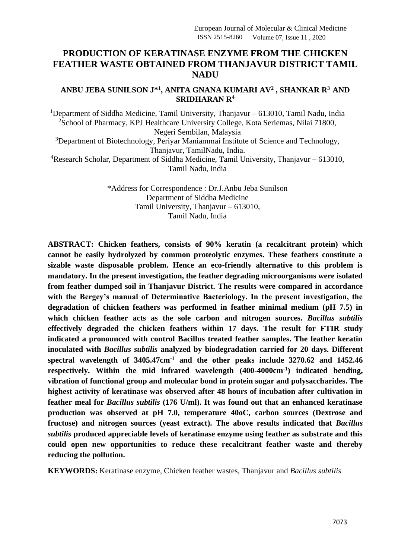# **PRODUCTION OF KERATINASE ENZYME FROM THE CHICKEN FEATHER WASTE OBTAINED FROM THANJAVUR DISTRICT TAMIL NADU**

## **ANBU JEBA SUNILSON J\* 1 , ANITA GNANA KUMARI AV<sup>2</sup> , SHANKAR R<sup>3</sup>AND SRIDHARAN R<sup>4</sup>**

<sup>1</sup>Department of Siddha Medicine, Tamil University, Thanjavur – 613010, Tamil Nadu, India <sup>2</sup>School of Pharmacy, KPJ Healthcare University College, Kota Seriemas, Nilai 71800, Negeri Sembilan, Malaysia <sup>3</sup>Department of Biotechnology, Periyar Maniammai Institute of Science and Technology, Thanjavur, TamilNadu, India.

<sup>4</sup>Research Scholar, Department of Siddha Medicine, Tamil University, Thanjavur – 613010, Tamil Nadu, India

> \*Address for Correspondence : Dr.J.Anbu Jeba Sunilson Department of Siddha Medicine Tamil University, Thanjavur – 613010, Tamil Nadu, India

**ABSTRACT: Chicken feathers, consists of 90% keratin (a recalcitrant protein) which cannot be easily hydrolyzed by common proteolytic enzymes. These feathers constitute a sizable waste disposable problem. Hence an eco-friendly alternative to this problem is mandatory. In the present investigation, the feather degrading microorganisms were isolated from feather dumped soil in Thanjavur District. The results were compared in accordance with the Bergey's manual of Determinative Bacteriology. In the present investigation, the degradation of chicken feathers was performed in feather minimal medium (pH 7.5) in which chicken feather acts as the sole carbon and nitrogen sources.** *Bacillus subtilis* **effectively degraded the chicken feathers within 17 days. The result for FTIR study indicated a pronounced with control Bacillus treated feather samples. The feather keratin inoculated with** *Bacillus subtilis* **analyzed by biodegradation carried for 20 days. Different spectral wavelength of 3405.47cm-1 and the other peaks include 3270.62 and 1452.46 respectively. Within the mid infrared wavelength (400-4000cm-1 ) indicated bending, vibration of functional group and molecular bond in protein sugar and polysaccharides. The highest activity of keratinase was observed after 48 hours of incubation after cultivation in feather meal for** *Bacillus subtilis* **(176 U/ml). It was found out that an enhanced keratinase production was observed at pH 7.0, temperature 40oC, carbon sources (Dextrose and fructose) and nitrogen sources (yeast extract). The above results indicated that** *Bacillus subtilis* **produced appreciable levels of keratinase enzyme using feather as substrate and this could open new opportunities to reduce these recalcitrant feather waste and thereby reducing the pollution.**

**KEYWORDS:** Keratinase enzyme, Chicken feather wastes, Thanjavur and *Bacillus subtilis*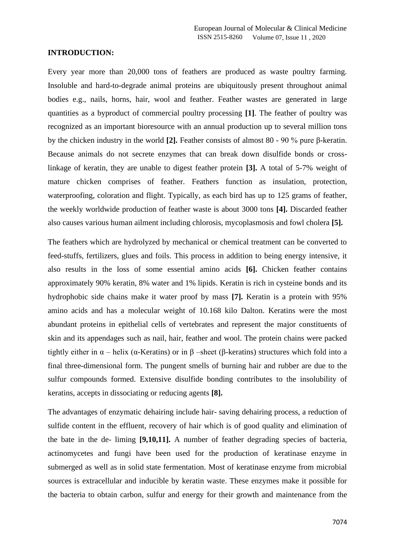#### **INTRODUCTION:**

Every year more than 20,000 tons of feathers are produced as waste poultry farming. Insoluble and hard-to-degrade animal proteins are ubiquitously present throughout animal bodies e.g., nails, horns, hair, wool and feather. Feather wastes are generated in large quantities as a byproduct of commercial poultry processing **[1]**. The feather of poultry was recognized as an important bioresource with an annual production up to several million tons by the chicken industry in the world **[2].** Feather consists of almost 80 - 90 % pure β-keratin. Because animals do not secrete enzymes that can break down disulfide bonds or crosslinkage of keratin, they are unable to digest feather protein **[3].** A total of 5-7% weight of mature chicken comprises of feather. Feathers function as insulation, protection, waterproofing, coloration and flight. Typically, as each bird has up to 125 grams of feather, the weekly worldwide production of feather waste is about 3000 tons **[4].** Discarded feather also causes various human ailment including chlorosis, mycoplasmosis and fowl cholera **[5].**

The feathers which are hydrolyzed by mechanical or chemical treatment can be converted to feed-stuffs, fertilizers, glues and foils. This process in addition to being energy intensive, it also results in the loss of some essential amino acids **[6].** Chicken feather contains approximately 90% keratin, 8% water and 1% lipids. Keratin is rich in cysteine bonds and its hydrophobic side chains make it water proof by mass **[7].** Keratin is a protein with 95% amino acids and has a molecular weight of 10.168 kilo Dalton. Keratins were the most abundant proteins in epithelial cells of vertebrates and represent the major constituents of skin and its appendages such as nail, hair, feather and wool. The protein chains were packed tightly either in  $\alpha$  – helix (α-Keratins) or in β –sheet (β-keratins) structures which fold into a final three-dimensional form. The pungent smells of burning hair and rubber are due to the sulfur compounds formed. Extensive disulfide bonding contributes to the insolubility of keratins, accepts in dissociating or reducing agents **[8].**

The advantages of enzymatic dehairing include hair- saving dehairing process, a reduction of sulfide content in the effluent, recovery of hair which is of good quality and elimination of the bate in the de- liming **[9,10,11].** A number of feather degrading species of bacteria, actinomycetes and fungi have been used for the production of keratinase enzyme in submerged as well as in solid state fermentation. Most of keratinase enzyme from microbial sources is extracellular and inducible by keratin waste. These enzymes make it possible for the bacteria to obtain carbon, sulfur and energy for their growth and maintenance from the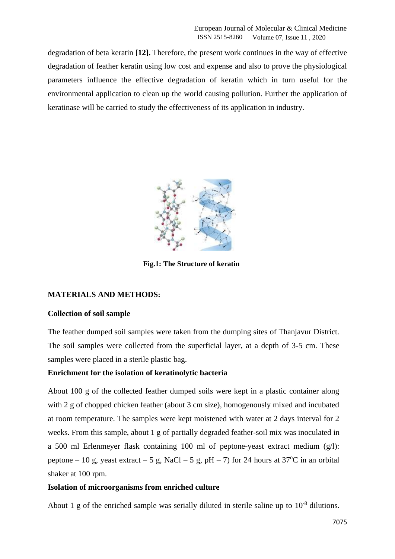degradation of beta keratin **[12].** Therefore, the present work continues in the way of effective degradation of feather keratin using low cost and expense and also to prove the physiological parameters influence the effective degradation of keratin which in turn useful for the environmental application to clean up the world causing pollution. Further the application of keratinase will be carried to study the effectiveness of its application in industry.



 **Fig.1: The Structure of keratin**

## **MATERIALS AND METHODS:**

#### **Collection of soil sample**

The feather dumped soil samples were taken from the dumping sites of Thanjavur District. The soil samples were collected from the superficial layer, at a depth of 3-5 cm. These samples were placed in a sterile plastic bag.

#### **Enrichment for the isolation of keratinolytic bacteria**

About 100 g of the collected feather dumped soils were kept in a plastic container along with 2 g of chopped chicken feather (about 3 cm size), homogenously mixed and incubated at room temperature. The samples were kept moistened with water at 2 days interval for 2 weeks. From this sample, about 1 g of partially degraded feather-soil mix was inoculated in a 500 ml Erlenmeyer flask containing 100 ml of peptone-yeast extract medium (g/l): peptone – 10 g, yeast extract – 5 g, NaCl – 5 g, pH – 7) for 24 hours at 37<sup>o</sup>C in an orbital shaker at 100 rpm.

# **Isolation of microorganisms from enriched culture**

About 1 g of the enriched sample was serially diluted in sterile saline up to  $10^{-8}$  dilutions.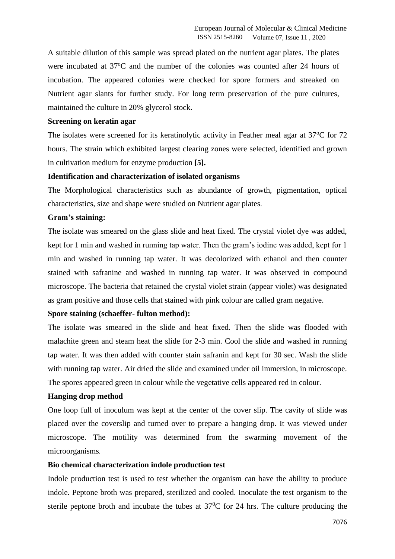A suitable dilution of this sample was spread plated on the nutrient agar plates. The plates were incubated at 37<sup>o</sup>C and the number of the colonies was counted after 24 hours of incubation. The appeared colonies were checked for spore formers and streaked on Nutrient agar slants for further study. For long term preservation of the pure cultures, maintained the culture in 20% glycerol stock.

#### **Screening on keratin agar**

The isolates were screened for its keratinolytic activity in Feather meal agar at  $37^{\circ}$ C for  $72$ hours. The strain which exhibited largest clearing zones were selected, identified and grown in cultivation medium for enzyme production **[5].**

#### **Identification and characterization of isolated organisms**

The Morphological characteristics such as abundance of growth, pigmentation, optical characteristics, size and shape were studied on Nutrient agar plates.

#### **Gram's staining:**

The isolate was smeared on the glass slide and heat fixed. The crystal violet dye was added, kept for 1 min and washed in running tap water. Then the gram's iodine was added, kept for 1 min and washed in running tap water. It was decolorized with ethanol and then counter stained with safranine and washed in running tap water. It was observed in compound microscope. The bacteria that retained the crystal violet strain (appear violet) was designated as gram positive and those cells that stained with pink colour are called gram negative.

#### **Spore staining (schaeffer- fulton method):**

The isolate was smeared in the slide and heat fixed. Then the slide was flooded with malachite green and steam heat the slide for 2-3 min. Cool the slide and washed in running tap water. It was then added with counter stain safranin and kept for 30 sec. Wash the slide with running tap water. Air dried the slide and examined under oil immersion, in microscope. The spores appeared green in colour while the vegetative cells appeared red in colour.

#### **Hanging drop method**

One loop full of inoculum was kept at the center of the cover slip. The cavity of slide was placed over the coverslip and turned over to prepare a hanging drop. It was viewed under microscope. The motility was determined from the swarming movement of the microorganisms.

#### **Bio chemical characterization indole production test**

Indole production test is used to test whether the organism can have the ability to produce indole. Peptone broth was prepared, sterilized and cooled. Inoculate the test organism to the sterile peptone broth and incubate the tubes at  $37^{\circ}$ C for 24 hrs. The culture producing the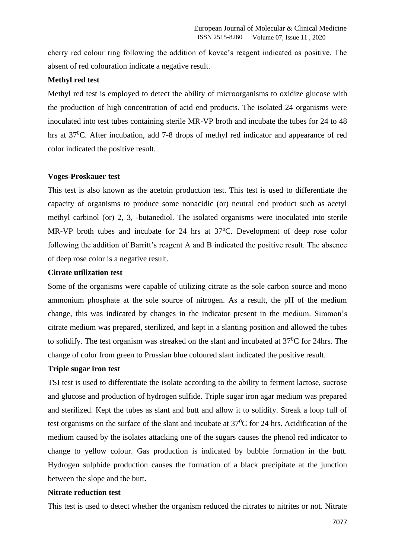cherry red colour ring following the addition of kovac's reagent indicated as positive. The absent of red colouration indicate a negative result.

## **Methyl red test**

Methyl red test is employed to detect the ability of microorganisms to oxidize glucose with the production of high concentration of acid end products. The isolated 24 organisms were inoculated into test tubes containing sterile MR-VP broth and incubate the tubes for 24 to 48 hrs at 37<sup>0</sup>C. After incubation, add 7-8 drops of methyl red indicator and appearance of red color indicated the positive result.

#### **Voges-Proskauer test**

This test is also known as the acetoin production test. This test is used to differentiate the capacity of organisms to produce some nonacidic (or) neutral end product such as acetyl methyl carbinol (or) 2, 3, -butanediol. The isolated organisms were inoculated into sterile MR-VP broth tubes and incubate for  $24$  hrs at  $37^{\circ}$ C. Development of deep rose color following the addition of Barritt's reagent A and B indicated the positive result. The absence of deep rose color is a negative result.

## **Citrate utilization test**

Some of the organisms were capable of utilizing citrate as the sole carbon source and mono ammonium phosphate at the sole source of nitrogen. As a result, the pH of the medium change, this was indicated by changes in the indicator present in the medium. Simmon's citrate medium was prepared, sterilized, and kept in a slanting position and allowed the tubes to solidify. The test organism was streaked on the slant and incubated at  $37^{\circ}$ C for 24hrs. The change of color from green to Prussian blue coloured slant indicated the positive result.

#### **Triple sugar iron test**

TSI test is used to differentiate the isolate according to the ability to ferment lactose, sucrose and glucose and production of hydrogen sulfide. Triple sugar iron agar medium was prepared and sterilized. Kept the tubes as slant and butt and allow it to solidify. Streak a loop full of test organisms on the surface of the slant and incubate at  $37^{\circ}$ C for 24 hrs. Acidification of the medium caused by the isolates attacking one of the sugars causes the phenol red indicator to change to yellow colour. Gas production is indicated by bubble formation in the butt. Hydrogen sulphide production causes the formation of a black precipitate at the junction between the slope and the butt**.** 

# **Nitrate reduction test**

This test is used to detect whether the organism reduced the nitrates to nitrites or not. Nitrate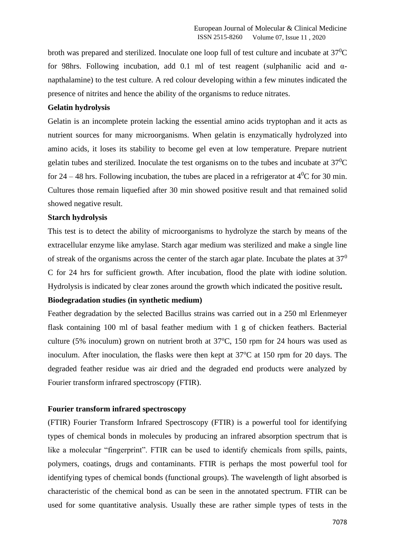broth was prepared and sterilized. Inoculate one loop full of test culture and incubate at  $37^{\circ}$ C for 98hrs. Following incubation, add 0.1 ml of test reagent (sulphanilic acid and αnapthalamine) to the test culture. A red colour developing within a few minutes indicated the presence of nitrites and hence the ability of the organisms to reduce nitrates.

## **Gelatin hydrolysis**

Gelatin is an incomplete protein lacking the essential amino acids tryptophan and it acts as nutrient sources for many microorganisms. When gelatin is enzymatically hydrolyzed into amino acids, it loses its stability to become gel even at low temperature. Prepare nutrient gelatin tubes and sterilized. Inoculate the test organisms on to the tubes and incubate at  $37^{\circ}$ C for 24 – 48 hrs. Following incubation, the tubes are placed in a refrigerator at  $4^0C$  for 30 min. Cultures those remain liquefied after 30 min showed positive result and that remained solid showed negative result.

#### **Starch hydrolysis**

This test is to detect the ability of microorganisms to hydrolyze the starch by means of the extracellular enzyme like amylase. Starch agar medium was sterilized and make a single line of streak of the organisms across the center of the starch agar plate. Incubate the plates at  $37<sup>0</sup>$ C for 24 hrs for sufficient growth. After incubation, flood the plate with iodine solution. Hydrolysis is indicated by clear zones around the growth which indicated the positive result**.** 

#### **Biodegradation studies (in synthetic medium)**

Feather degradation by the selected Bacillus strains was carried out in a 250 ml Erlenmeyer flask containing 100 ml of basal feather medium with 1 g of chicken feathers. Bacterial culture (5% inoculum) grown on nutrient broth at  $37^{\circ}$ C, 150 rpm for 24 hours was used as inoculum. After inoculation, the flasks were then kept at  $37^{\circ}$ C at 150 rpm for 20 days. The degraded feather residue was air dried and the degraded end products were analyzed by Fourier transform infrared spectroscopy (FTIR).

## **Fourier transform infrared spectroscopy**

(FTIR) Fourier Transform Infrared Spectroscopy (FTIR) is a powerful tool for identifying types of chemical bonds in molecules by producing an infrared absorption spectrum that is like a molecular "fingerprint". FTIR can be used to identify chemicals from spills, paints, polymers, coatings, drugs and contaminants. FTIR is perhaps the most powerful tool for identifying types of chemical bonds (functional groups). The wavelength of light absorbed is characteristic of the chemical bond as can be seen in the annotated spectrum. FTIR can be used for some quantitative analysis. Usually these are rather simple types of tests in the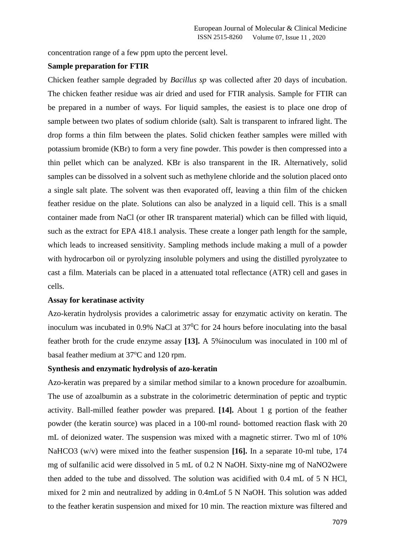concentration range of a few ppm upto the percent level.

#### **Sample preparation for FTIR**

Chicken feather sample degraded by *Bacillus sp* was collected after 20 days of incubation. The chicken feather residue was air dried and used for FTIR analysis. Sample for FTIR can be prepared in a number of ways. For liquid samples, the easiest is to place one drop of sample between two plates of sodium chloride (salt). Salt is transparent to infrared light. The drop forms a thin film between the plates. Solid chicken feather samples were milled with potassium bromide (KBr) to form a very fine powder. This powder is then compressed into a thin pellet which can be analyzed. KBr is also transparent in the IR. Alternatively, solid samples can be dissolved in a solvent such as methylene chloride and the solution placed onto a single salt plate. The solvent was then evaporated off, leaving a thin film of the chicken feather residue on the plate. Solutions can also be analyzed in a liquid cell. This is a small container made from NaCl (or other IR transparent material) which can be filled with liquid, such as the extract for EPA 418.1 analysis. These create a longer path length for the sample, which leads to increased sensitivity. Sampling methods include making a mull of a powder with hydrocarbon oil or pyrolyzing insoluble polymers and using the distilled pyrolyzatee to cast a film. Materials can be placed in a attenuated total reflectance (ATR) cell and gases in cells.

#### **Assay for keratinase activity**

Azo-keratin hydrolysis provides a calorimetric assay for enzymatic activity on keratin. The inoculum was incubated in 0.9% NaCl at  $37^{\circ}$ C for 24 hours before inoculating into the basal feather broth for the crude enzyme assay **[13].** A 5%inoculum was inoculated in 100 ml of basal feather medium at 37°C and 120 rpm.

## **Synthesis and enzymatic hydrolysis of azo-keratin**

Azo-keratin was prepared by a similar method similar to a known procedure for azoalbumin. The use of azoalbumin as a substrate in the colorimetric determination of peptic and tryptic activity. Ball-milled feather powder was prepared. **[14].** About 1 g portion of the feather powder (the keratin source) was placed in a 100-ml round- bottomed reaction flask with 20 mL of deionized water. The suspension was mixed with a magnetic stirrer. Two ml of 10% NaHCO3 (w/v) were mixed into the feather suspension **[16].** In a separate 10-ml tube, 174 mg of sulfanilic acid were dissolved in 5 mL of 0.2 N NaOH. Sixty-nine mg of NaNO2were then added to the tube and dissolved. The solution was acidified with 0.4 mL of 5 N HCl, mixed for 2 min and neutralized by adding in 0.4mLof 5 N NaOH. This solution was added to the feather keratin suspension and mixed for 10 min. The reaction mixture was filtered and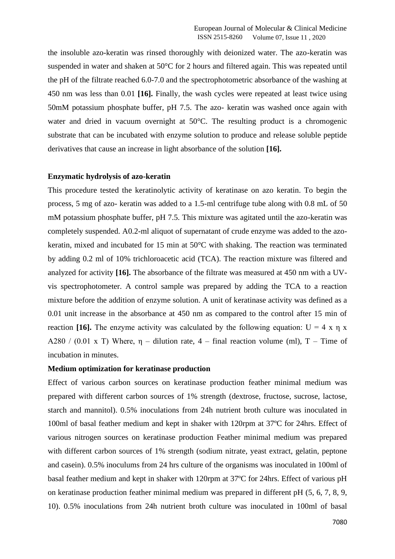the insoluble azo-keratin was rinsed thoroughly with deionized water. The azo-keratin was suspended in water and shaken at 50°C for 2 hours and filtered again. This was repeated until the pH of the filtrate reached 6.0-7.0 and the spectrophotometric absorbance of the washing at 450 nm was less than 0.01 **[16].** Finally, the wash cycles were repeated at least twice using 50mM potassium phosphate buffer, pH 7.5. The azo- keratin was washed once again with water and dried in vacuum overnight at 50°C. The resulting product is a chromogenic substrate that can be incubated with enzyme solution to produce and release soluble peptide derivatives that cause an increase in light absorbance of the solution **[16].**

#### **Enzymatic hydrolysis of azo-keratin**

This procedure tested the keratinolytic activity of keratinase on azo keratin. To begin the process, 5 mg of azo- keratin was added to a 1.5-ml centrifuge tube along with 0.8 mL of 50 mM potassium phosphate buffer, pH 7.5. This mixture was agitated until the azo-keratin was completely suspended. A0.2-ml aliquot of supernatant of crude enzyme was added to the azokeratin, mixed and incubated for 15 min at 50°C with shaking. The reaction was terminated by adding 0.2 ml of 10% trichloroacetic acid (TCA). The reaction mixture was filtered and analyzed for activity **[16].** The absorbance of the filtrate was measured at 450 nm with a UVvis spectrophotometer. A control sample was prepared by adding the TCA to a reaction mixture before the addition of enzyme solution. A unit of keratinase activity was defined as a 0.01 unit increase in the absorbance at 450 nm as compared to the control after 15 min of reaction **[16].** The enzyme activity was calculated by the following equation:  $U = 4 x \eta x$ A280 / (0.01 x T) Where,  $\eta$  – dilution rate, 4 – final reaction volume (ml), T – Time of incubation in minutes.

#### **Medium optimization for keratinase production**

Effect of various carbon sources on keratinase production feather minimal medium was prepared with different carbon sources of 1% strength (dextrose, fructose, sucrose, lactose, starch and mannitol). 0.5% inoculations from 24h nutrient broth culture was inoculated in 100ml of basal feather medium and kept in shaker with 120rpm at 37ºC for 24hrs. Effect of various nitrogen sources on keratinase production Feather minimal medium was prepared with different carbon sources of 1% strength (sodium nitrate, yeast extract, gelatin, peptone and casein). 0.5% inoculums from 24 hrs culture of the organisms was inoculated in 100ml of basal feather medium and kept in shaker with 120rpm at 37ºC for 24hrs. Effect of various pH on keratinase production feather minimal medium was prepared in different pH (5, 6, 7, 8, 9, 10). 0.5% inoculations from 24h nutrient broth culture was inoculated in 100ml of basal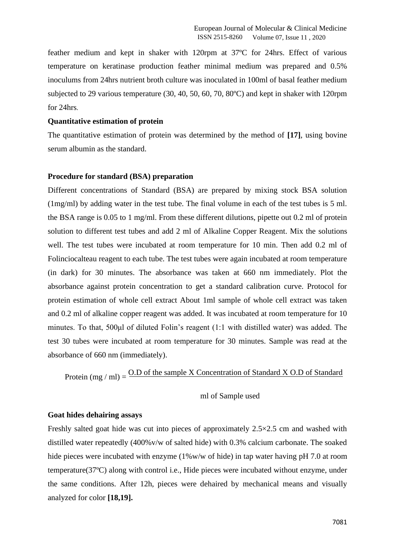feather medium and kept in shaker with 120rpm at 37ºC for 24hrs. Effect of various temperature on keratinase production feather minimal medium was prepared and 0.5% inoculums from 24hrs nutrient broth culture was inoculated in 100ml of basal feather medium subjected to 29 various temperature (30, 40, 50, 60, 70, 80ºC) and kept in shaker with 120rpm for 24hrs.

#### **Quantitative estimation of protein**

The quantitative estimation of protein was determined by the method of **[17]**, using bovine serum albumin as the standard.

#### **Procedure for standard (BSA) preparation**

Different concentrations of Standard (BSA) are prepared by mixing stock BSA solution (1mg/ml) by adding water in the test tube. The final volume in each of the test tubes is 5 ml. the BSA range is 0.05 to 1 mg/ml. From these different dilutions, pipette out 0.2 ml of protein solution to different test tubes and add 2 ml of Alkaline Copper Reagent. Mix the solutions well. The test tubes were incubated at room temperature for 10 min. Then add 0.2 ml of Folinciocalteau reagent to each tube. The test tubes were again incubated at room temperature (in dark) for 30 minutes. The absorbance was taken at 660 nm immediately. Plot the absorbance against protein concentration to get a standard calibration curve. Protocol for protein estimation of whole cell extract About 1ml sample of whole cell extract was taken and 0.2 ml of alkaline copper reagent was added. It was incubated at room temperature for 10 minutes. To that, 500μl of diluted Folin's reagent (1:1 with distilled water) was added. The test 30 tubes were incubated at room temperature for 30 minutes. Sample was read at the absorbance of 660 nm (immediately).

Protein (mg / ml) =  $\frac{O.D \text{ of the sample X Concentration of Standard X O.D of Standard}}{}$ 

ml of Sample used

## **Goat hides dehairing assays**

Freshly salted goat hide was cut into pieces of approximately 2.5×2.5 cm and washed with distilled water repeatedly (400%v/w of salted hide) with 0.3% calcium carbonate. The soaked hide pieces were incubated with enzyme  $(1\%w/w)$  of hide) in tap water having pH 7.0 at room temperature(37ºC) along with control i.e., Hide pieces were incubated without enzyme, under the same conditions. After 12h, pieces were dehaired by mechanical means and visually analyzed for color **[18,19].**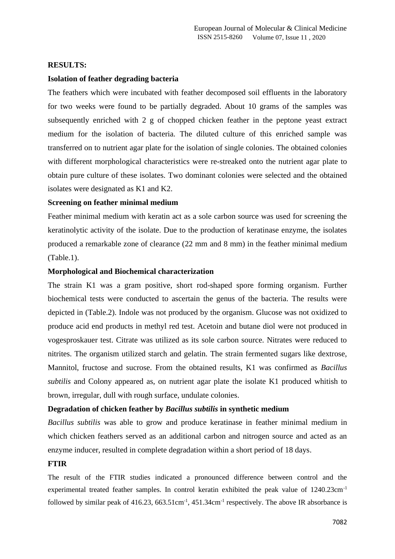#### **RESULTS:**

## **Isolation of feather degrading bacteria**

The feathers which were incubated with feather decomposed soil effluents in the laboratory for two weeks were found to be partially degraded. About 10 grams of the samples was subsequently enriched with 2 g of chopped chicken feather in the peptone yeast extract medium for the isolation of bacteria. The diluted culture of this enriched sample was transferred on to nutrient agar plate for the isolation of single colonies. The obtained colonies with different morphological characteristics were re-streaked onto the nutrient agar plate to obtain pure culture of these isolates. Two dominant colonies were selected and the obtained isolates were designated as K1 and K2.

## **Screening on feather minimal medium**

Feather minimal medium with keratin act as a sole carbon source was used for screening the keratinolytic activity of the isolate. Due to the production of keratinase enzyme, the isolates produced a remarkable zone of clearance (22 mm and 8 mm) in the feather minimal medium (Table.1).

#### **Morphological and Biochemical characterization**

The strain K1 was a gram positive, short rod-shaped spore forming organism. Further biochemical tests were conducted to ascertain the genus of the bacteria. The results were depicted in (Table.2). Indole was not produced by the organism. Glucose was not oxidized to produce acid end products in methyl red test. Acetoin and butane diol were not produced in vogesproskauer test. Citrate was utilized as its sole carbon source. Nitrates were reduced to nitrites. The organism utilized starch and gelatin. The strain fermented sugars like dextrose, Mannitol, fructose and sucrose. From the obtained results, K1 was confirmed as *Bacillus subtilis* and Colony appeared as, on nutrient agar plate the isolate K1 produced whitish to brown, irregular, dull with rough surface, undulate colonies.

#### **Degradation of chicken feather by** *Bacillus subtilis* **in synthetic medium**

*Bacillus subtilis* was able to grow and produce keratinase in feather minimal medium in which chicken feathers served as an additional carbon and nitrogen source and acted as an enzyme inducer, resulted in complete degradation within a short period of 18 days.

#### **FTIR**

The result of the FTIR studies indicated a pronounced difference between control and the experimental treated feather samples. In control keratin exhibited the peak value of 1240.23cm<sup>-1</sup> followed by similar peak of  $416.23$ ,  $663.51$ cm<sup>-1</sup>,  $451.34$ cm<sup>-1</sup> respectively. The above IR absorbance is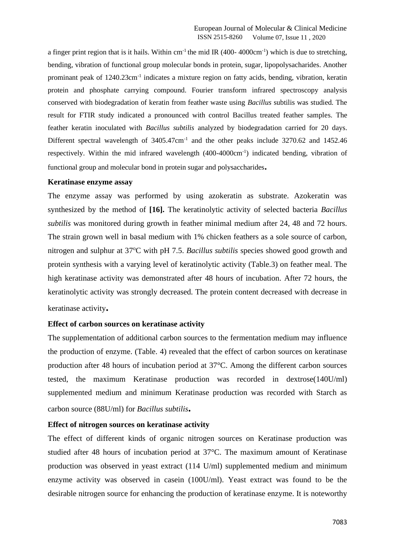a finger print region that is it hails. Within  $cm^{-1}$  the mid IR (400-4000 $cm^{-1}$ ) which is due to stretching, bending, vibration of functional group molecular bonds in protein, sugar, lipopolysacharides. Another prominant peak of 1240.23cm<sup>-1</sup> indicates a mixture region on fatty acids, bending, vibration, keratin protein and phosphate carrying compound. Fourier transform infrared spectroscopy analysis conserved with biodegradation of keratin from feather waste using *Bacillus* subtilis was studied. The result for FTIR study indicated a pronounced with control Bacillus treated feather samples. The feather keratin inoculated with *Bacillus subtilis* analyzed by biodegradation carried for 20 days. Different spectral wavelength of 3405.47cm<sup>-1</sup> and the other peaks include 3270.62 and 1452.46 respectively. Within the mid infrared wavelength (400-4000cm<sup>-1</sup>) indicated bending, vibration of functional group and molecular bond in protein sugar and polysaccharides**.** 

#### **Keratinase enzyme assay**

The enzyme assay was performed by using azokeratin as substrate. Azokeratin was synthesized by the method of **[16].** The keratinolytic activity of selected bacteria *Bacillus subtilis* was monitored during growth in feather minimal medium after 24, 48 and 72 hours. The strain grown well in basal medium with 1% chicken feathers as a sole source of carbon, nitrogen and sulphur at 37<sup>o</sup>C with pH 7.5. *Bacillus subtilis* species showed good growth and protein synthesis with a varying level of keratinolytic activity (Table.3) on feather meal. The high keratinase activity was demonstrated after 48 hours of incubation. After 72 hours, the keratinolytic activity was strongly decreased. The protein content decreased with decrease in keratinase activity**.** 

#### **Effect of carbon sources on keratinase activity**

The supplementation of additional carbon sources to the fermentation medium may influence the production of enzyme. (Table. 4) revealed that the effect of carbon sources on keratinase production after 48 hours of incubation period at 37°C. Among the different carbon sources tested, the maximum Keratinase production was recorded in dextrose(140U/ml) supplemented medium and minimum Keratinase production was recorded with Starch as carbon source (88U/ml) for *Bacillus subtilis***.** 

#### **Effect of nitrogen sources on keratinase activity**

The effect of different kinds of organic nitrogen sources on Keratinase production was studied after 48 hours of incubation period at 37°C. The maximum amount of Keratinase production was observed in yeast extract (114 U/ml) supplemented medium and minimum enzyme activity was observed in casein (100U/ml). Yeast extract was found to be the desirable nitrogen source for enhancing the production of keratinase enzyme. It is noteworthy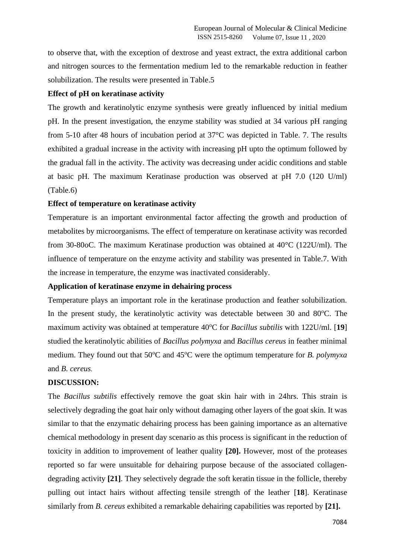to observe that, with the exception of dextrose and yeast extract, the extra additional carbon and nitrogen sources to the fermentation medium led to the remarkable reduction in feather solubilization. The results were presented in Table.5

# **Effect of pH on keratinase activity**

The growth and keratinolytic enzyme synthesis were greatly influenced by initial medium pH. In the present investigation, the enzyme stability was studied at 34 various pH ranging from 5-10 after 48 hours of incubation period at 37°C was depicted in Table. 7. The results exhibited a gradual increase in the activity with increasing pH upto the optimum followed by the gradual fall in the activity. The activity was decreasing under acidic conditions and stable at basic pH. The maximum Keratinase production was observed at pH 7.0 (120 U/ml) (Table.6)

#### **Effect of temperature on keratinase activity**

Temperature is an important environmental factor affecting the growth and production of metabolites by microorganisms. The effect of temperature on keratinase activity was recorded from 30-80oC. The maximum Keratinase production was obtained at 40°C (122U/ml). The influence of temperature on the enzyme activity and stability was presented in Table.7. With the increase in temperature, the enzyme was inactivated considerably.

## **Application of keratinase enzyme in dehairing process**

Temperature plays an important role in the keratinase production and feather solubilization. In the present study, the keratinolytic activity was detectable between  $30$  and  $80^{\circ}$ C. The maximum activity was obtained at temperature 40<sup>o</sup>C for *Bacillus subtilis* with 122U/ml. [19] studied the keratinolytic abilities of *Bacillus polymyxa* and *Bacillus cereus* in feather minimal medium. They found out that 50<sup>o</sup>C and 45<sup>o</sup>C were the optimum temperature for *B. polymyxa* and *B. cereus*.

## **DISCUSSION:**

The *Bacillus subtilis* effectively remove the goat skin hair with in 24hrs. This strain is selectively degrading the goat hair only without damaging other layers of the goat skin. It was similar to that the enzymatic dehairing process has been gaining importance as an alternative chemical methodology in present day scenario as this process is significant in the reduction of toxicity in addition to improvement of leather quality **[20].** However, most of the proteases reported so far were unsuitable for dehairing purpose because of the associated collagendegrading activity **[21]**. They selectively degrade the soft keratin tissue in the follicle, thereby pulling out intact hairs without affecting tensile strength of the leather [**18**]. Keratinase similarly from *B. cereus* exhibited a remarkable dehairing capabilities was reported by **[21].**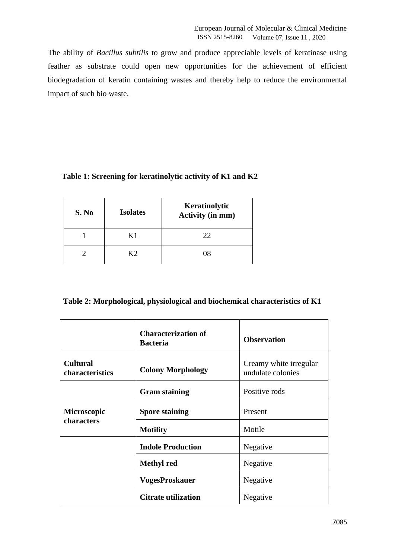The ability of *Bacillus subtilis* to grow and produce appreciable levels of keratinase using feather as substrate could open new opportunities for the achievement of efficient biodegradation of keratin containing wastes and thereby help to reduce the environmental impact of such bio waste.

| Table 1: Screening for keratinolytic activity of K1 and K2 |  |  |  |
|------------------------------------------------------------|--|--|--|
|                                                            |  |  |  |

| S. No | <b>Isolates</b> | Keratinolytic<br><b>Activity (in mm)</b> |
|-------|-----------------|------------------------------------------|
|       | K1              | 22                                       |
|       | K2              | 08                                       |

|  |  | Table 2: Morphological, physiological and biochemical characteristics of K1 |  |
|--|--|-----------------------------------------------------------------------------|--|
|  |  |                                                                             |  |

|                                           | <b>Characterization of</b><br><b>Bacteria</b> | <b>Observation</b>                          |
|-------------------------------------------|-----------------------------------------------|---------------------------------------------|
| <b>Cultural</b><br><b>characteristics</b> | <b>Colony Morphology</b>                      | Creamy white irregular<br>undulate colonies |
|                                           | <b>Gram staining</b>                          | Positive rods                               |
| <b>Microscopic</b>                        | <b>Spore staining</b>                         | Present                                     |
| characters                                | <b>Motility</b>                               | Motile                                      |
|                                           | <b>Indole Production</b>                      | Negative                                    |
|                                           | <b>Methyl</b> red                             | Negative                                    |
|                                           | <b>VogesProskauer</b>                         | Negative                                    |
|                                           | <b>Citrate utilization</b>                    | Negative                                    |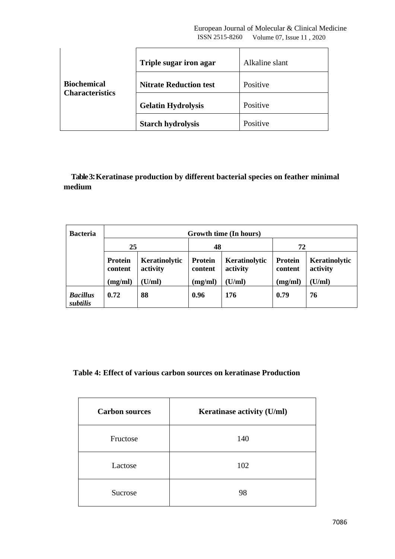| <b>Biochemical</b><br><b>Characteristics</b> | Triple sugar iron agar        | Alkaline slant |
|----------------------------------------------|-------------------------------|----------------|
|                                              | <b>Nitrate Reduction test</b> | Positive       |
|                                              | <b>Gelatin Hydrolysis</b>     | Positive       |
|                                              | <b>Starch hydrolysis</b>      | Positive       |

 **Table 3: Keratinase production by different bacterial species on feather minimal medium**

| <b>Bacteria</b>             | Growth time (In hours)    |                           |                           |                           |                           |                           |
|-----------------------------|---------------------------|---------------------------|---------------------------|---------------------------|---------------------------|---------------------------|
|                             | 25                        |                           | 48                        |                           | 72                        |                           |
|                             | <b>Protein</b><br>content | Keratinolytic<br>activity | <b>Protein</b><br>content | Keratinolytic<br>activity | <b>Protein</b><br>content | Keratinolytic<br>activity |
|                             | (mg/ml)                   | (U/ml)                    | (mg/ml)                   | (U/ml)                    | (mg/ml)                   | (U/ml)                    |
| <b>Bacillus</b><br>subtilis | 0.72                      | 88                        | 0.96                      | 176                       | 0.79                      | 76                        |

# **Table 4: Effect of various carbon sources on keratinase Production**

| <b>Carbon sources</b> | Keratinase activity (U/ml) |
|-----------------------|----------------------------|
| Fructose              | 140                        |
| Lactose               | 102                        |
| Sucrose               | 98                         |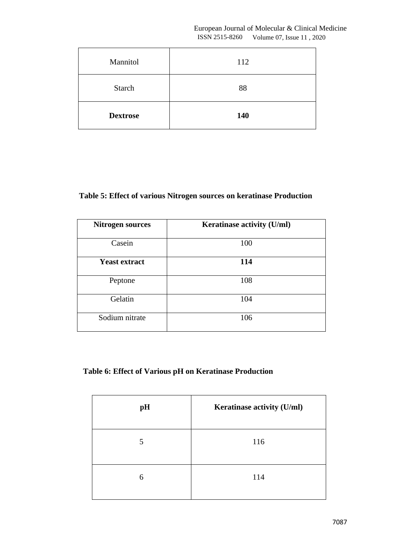European Journal of Molecular & Clinical Medicine ISSN 2515-8260 Volume 07, Issue 11 , 2020

| Mannitol        | 112 |
|-----------------|-----|
| <b>Starch</b>   | 88  |
| <b>Dextrose</b> | 140 |

# **Table 5: Effect of various Nitrogen sources on keratinase Production**

| <b>Nitrogen sources</b> | Keratinase activity (U/ml) |
|-------------------------|----------------------------|
| Casein                  | 100                        |
| <b>Yeast extract</b>    | 114                        |
| Peptone                 | 108                        |
| Gelatin                 | 104                        |
| Sodium nitrate          | 106                        |

# **Table 6: Effect of Various pH on Keratinase Production**

| pH | Keratinase activity (U/ml) |
|----|----------------------------|
| 5  | 116                        |
| 6  | 114                        |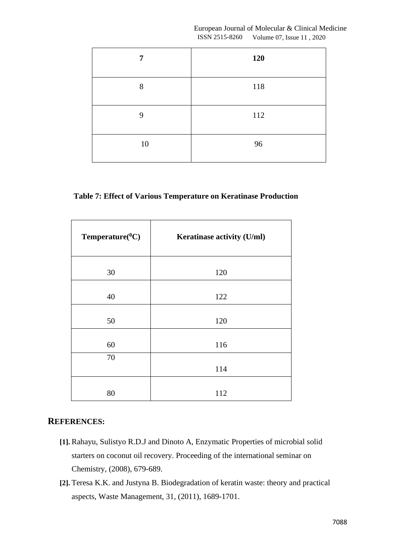|                | European Journal of Molecular & Clinical Medicine |
|----------------|---------------------------------------------------|
| ISSN 2515-8260 | Volume 07, Issue 11, 2020                         |

| 7  | 120 |
|----|-----|
| 8  | 118 |
| 9  | 112 |
| 10 | 96  |

# **Table 7: Effect of Various Temperature on Keratinase Production**

| $Temperature(^0C)$ | Keratinase activity (U/ml) |
|--------------------|----------------------------|
| 30                 | 120                        |
| 40                 | 122                        |
| 50                 | 120                        |
| 60                 | 116                        |
| 70                 | 114                        |
| 80                 | 112                        |

# **REFERENCES:**

- **[1].** Rahayu, Sulistyo R.D.J and Dinoto A, Enzymatic Properties of microbial solid starters on coconut oil recovery. Proceeding of the international seminar on Chemistry, (2008), 679-689.
- **[2].** Teresa K.K. and Justyna B. Biodegradation of keratin waste: theory and practical aspects, Waste Management, 31, (2011), 1689-1701.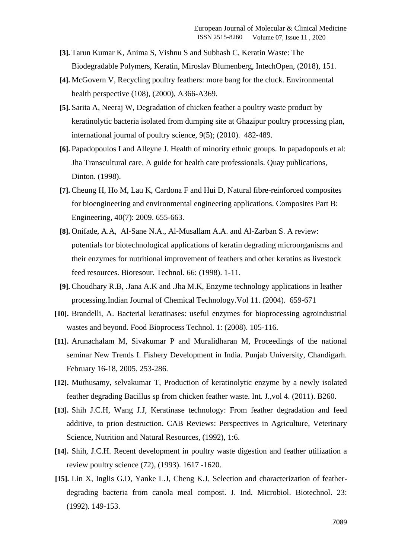- **[3].** Tarun Kumar K, Anima S, Vishnu S and Subhash C, Keratin Waste: The Biodegradable Polymers, Keratin, Miroslav Blumenberg, IntechOpen, (2018), 151.
- **[4].** McGovern V, Recycling poultry feathers: more bang for the cluck. Environmental health perspective (108), (2000), A366-A369.
- **[5].** Sarita A, Neeraj W, Degradation of chicken feather a poultry waste product by keratinolytic bacteria isolated from dumping site at Ghazipur poultry processing plan, international journal of poultry science, 9(5); (2010). 482-489.
- **[6].** Papadopoulos I and Alleyne J. Health of minority ethnic groups. In papadopouls et al: Jha Transcultural care. A guide for health care professionals. Quay publications, Dinton. (1998).
- **[7].** Cheung H, Ho M, Lau K, Cardona F and Hui D, Natural fibre-reinforced composites for bioengineering and environmental engineering applications. Composites Part B: Engineering, 40(7): 2009. 655-663.
- **[8].** Onifade, A.A, Al-Sane N.A., Al-Musallam A.A. and Al-Zarban S. A review: potentials for biotechnological applications of keratin degrading microorganisms and their enzymes for nutritional improvement of feathers and other keratins as livestock feed resources. Bioresour. Technol. 66: (1998). 1-11.
- **[9].** Choudhary R.B, .Jana A.K and .Jha M.K, Enzyme technology applications in leather processing.Indian Journal of Chemical Technology.Vol 11. (2004). 659-671
- **[10].** Brandelli, A. Bacterial keratinases: useful enzymes for bioprocessing agroindustrial wastes and beyond. Food Bioprocess Technol. 1: (2008). 105-116.
- **[11].** Arunachalam M, Sivakumar P and Muralidharan M, Proceedings of the national seminar New Trends I. Fishery Development in India. Punjab University, Chandigarh. February 16-18, 2005. 253-286.
- **[12].** Muthusamy, selvakumar T, Production of keratinolytic enzyme by a newly isolated feather degrading Bacillus sp from chicken feather waste. Int. J.,vol 4. (2011). B260.
- **[13].** Shih J.C.H, Wang J.J, Keratinase technology: From feather degradation and feed additive, to prion destruction. CAB Reviews: Perspectives in Agriculture, Veterinary Science, Nutrition and Natural Resources, (1992), 1:6.
- **[14].** Shih, J.C.H. Recent development in poultry waste digestion and feather utilization a review poultry science (72), (1993). 1617 -1620.
- **[15].** Lin X, Inglis G.D, Yanke L.J, Cheng K.J, Selection and characterization of featherdegrading bacteria from canola meal compost. J. Ind. Microbiol. Biotechnol. 23: (1992). 149-153.